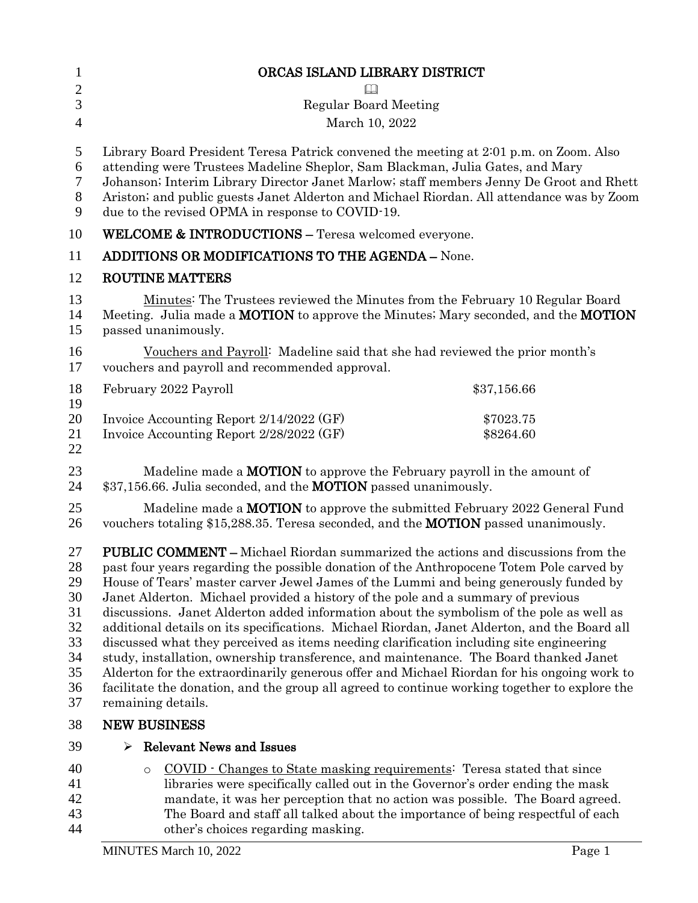| $\mathbf{1}$                                                   | ORCAS ISLAND LIBRARY DISTRICT                                                                                                                                                                                                                                                                                                                                                                                                                                                                                                                                                                                                                                                                                                                                                                                                                                                                                                                                          |                        |
|----------------------------------------------------------------|------------------------------------------------------------------------------------------------------------------------------------------------------------------------------------------------------------------------------------------------------------------------------------------------------------------------------------------------------------------------------------------------------------------------------------------------------------------------------------------------------------------------------------------------------------------------------------------------------------------------------------------------------------------------------------------------------------------------------------------------------------------------------------------------------------------------------------------------------------------------------------------------------------------------------------------------------------------------|------------------------|
| $\overline{2}$                                                 |                                                                                                                                                                                                                                                                                                                                                                                                                                                                                                                                                                                                                                                                                                                                                                                                                                                                                                                                                                        |                        |
| 3                                                              | <b>Regular Board Meeting</b>                                                                                                                                                                                                                                                                                                                                                                                                                                                                                                                                                                                                                                                                                                                                                                                                                                                                                                                                           |                        |
| $\overline{4}$                                                 | March 10, 2022                                                                                                                                                                                                                                                                                                                                                                                                                                                                                                                                                                                                                                                                                                                                                                                                                                                                                                                                                         |                        |
| 5<br>6<br>$\tau$<br>$8\phantom{.}$<br>9                        | Library Board President Teresa Patrick convened the meeting at 2:01 p.m. on Zoom. Also<br>attending were Trustees Madeline Sheplor, Sam Blackman, Julia Gates, and Mary<br>Johanson; Interim Library Director Janet Marlow; staff members Jenny De Groot and Rhett<br>Ariston; and public guests Janet Alderton and Michael Riordan. All attendance was by Zoom<br>due to the revised OPMA in response to COVID-19.                                                                                                                                                                                                                                                                                                                                                                                                                                                                                                                                                    |                        |
| 10                                                             | WELCOME & INTRODUCTIONS - Teresa welcomed everyone.                                                                                                                                                                                                                                                                                                                                                                                                                                                                                                                                                                                                                                                                                                                                                                                                                                                                                                                    |                        |
| 11                                                             | <b>ADDITIONS OR MODIFICATIONS TO THE AGENDA - None.</b>                                                                                                                                                                                                                                                                                                                                                                                                                                                                                                                                                                                                                                                                                                                                                                                                                                                                                                                |                        |
| 12                                                             | <b>ROUTINE MATTERS</b>                                                                                                                                                                                                                                                                                                                                                                                                                                                                                                                                                                                                                                                                                                                                                                                                                                                                                                                                                 |                        |
| 13<br>14<br>15                                                 | Minutes: The Trustees reviewed the Minutes from the February 10 Regular Board<br>Meeting. Julia made a <b>MOTION</b> to approve the Minutes; Mary seconded, and the <b>MOTION</b><br>passed unanimously.                                                                                                                                                                                                                                                                                                                                                                                                                                                                                                                                                                                                                                                                                                                                                               |                        |
| 16<br>17                                                       | Vouchers and Payroll: Madeline said that she had reviewed the prior month's<br>vouchers and payroll and recommended approval.                                                                                                                                                                                                                                                                                                                                                                                                                                                                                                                                                                                                                                                                                                                                                                                                                                          |                        |
| 18<br>19                                                       | February 2022 Payroll                                                                                                                                                                                                                                                                                                                                                                                                                                                                                                                                                                                                                                                                                                                                                                                                                                                                                                                                                  | \$37,156.66            |
| 20<br>21<br>22                                                 | Invoice Accounting Report 2/14/2022 (GF)<br>Invoice Accounting Report 2/28/2022 (GF)                                                                                                                                                                                                                                                                                                                                                                                                                                                                                                                                                                                                                                                                                                                                                                                                                                                                                   | \$7023.75<br>\$8264.60 |
| 23<br>24                                                       | Madeline made a <b>MOTION</b> to approve the February payroll in the amount of<br>\$37,156.66. Julia seconded, and the <b>MOTION</b> passed unanimously.                                                                                                                                                                                                                                                                                                                                                                                                                                                                                                                                                                                                                                                                                                                                                                                                               |                        |
| 25<br>26                                                       | Madeline made a <b>MOTION</b> to approve the submitted February 2022 General Fund<br>vouchers totaling \$15,288.35. Teresa seconded, and the <b>MOTION</b> passed unanimously.                                                                                                                                                                                                                                                                                                                                                                                                                                                                                                                                                                                                                                                                                                                                                                                         |                        |
| 27<br>28<br>29<br>30<br>31<br>32<br>33<br>34<br>35<br>36<br>37 | <b>PUBLIC COMMENT</b> – Michael Riordan summarized the actions and discussions from the<br>past four years regarding the possible donation of the Anthropocene Totem Pole carved by<br>House of Tears' master carver Jewel James of the Lummi and being generously funded by<br>Janet Alderton. Michael provided a history of the pole and a summary of previous<br>discussions. Janet Alderton added information about the symbolism of the pole as well as<br>additional details on its specifications. Michael Riordan, Janet Alderton, and the Board all<br>discussed what they perceived as items needing clarification including site engineering<br>study, installation, ownership transference, and maintenance. The Board thanked Janet<br>Alderton for the extraordinarily generous offer and Michael Riordan for his ongoing work to<br>facilitate the donation, and the group all agreed to continue working together to explore the<br>remaining details. |                        |
| 38                                                             | <b>NEW BUSINESS</b>                                                                                                                                                                                                                                                                                                                                                                                                                                                                                                                                                                                                                                                                                                                                                                                                                                                                                                                                                    |                        |
| 39                                                             | <b>Relevant News and Issues</b><br>⋗                                                                                                                                                                                                                                                                                                                                                                                                                                                                                                                                                                                                                                                                                                                                                                                                                                                                                                                                   |                        |
| 40<br>41<br>42<br>43                                           | COVID · Changes to State masking requirements: Teresa stated that since<br>$\circ$<br>libraries were specifically called out in the Governor's order ending the mask<br>mandate, it was her perception that no action was possible. The Board agreed.<br>The Board and staff all talked about the importance of being respectful of each                                                                                                                                                                                                                                                                                                                                                                                                                                                                                                                                                                                                                               |                        |

other's choices regarding masking.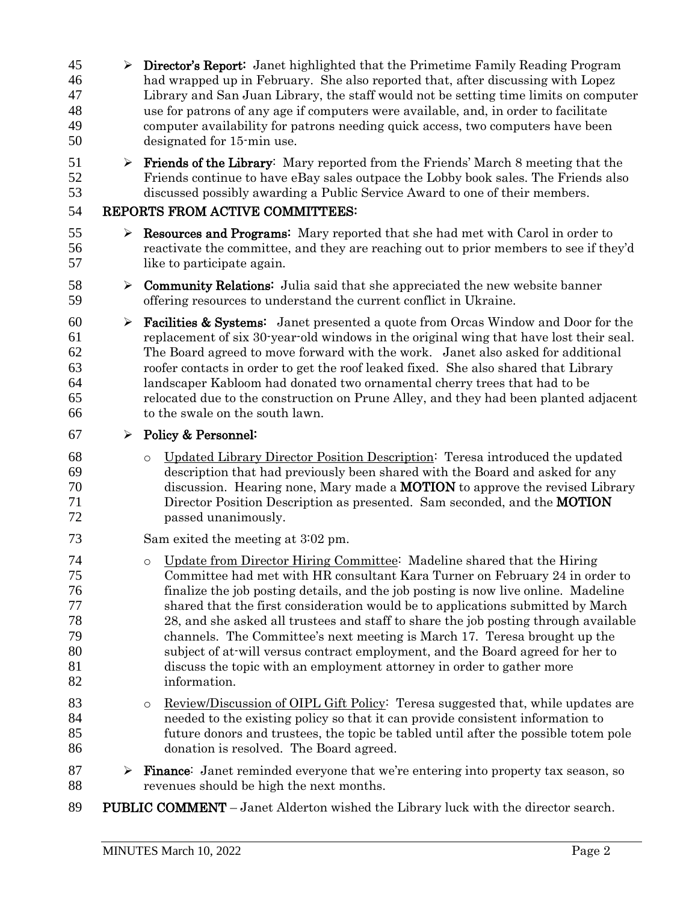Director's Report: Janet highlighted that the Primetime Family Reading Program had wrapped up in February. She also reported that, after discussing with Lopez Library and San Juan Library, the staff would not be setting time limits on computer use for patrons of any age if computers were available, and, in order to facilitate computer availability for patrons needing quick access, two computers have been designated for 15-min use.  $51 \rightarrow$  **Friends of the Library**: Mary reported from the Friends' March 8 meeting that the Friends continue to have eBay sales outpace the Lobby book sales. The Friends also discussed possibly awarding a Public Service Award to one of their members. REPORTS FROM ACTIVE COMMITTEES:  $\triangleright$  **Resources and Programs:** Mary reported that she had met with Carol in order to reactivate the committee, and they are reaching out to prior members to see if they'd like to participate again.  $\triangleright$  **Community Relations:** Julia said that she appreciated the new website banner offering resources to understand the current conflict in Ukraine. **Facilities & Systems:** Janet presented a quote from Orcas Window and Door for the replacement of six 30-year-old windows in the original wing that have lost their seal. The Board agreed to move forward with the work. Janet also asked for additional roofer contacts in order to get the roof leaked fixed. She also shared that Library landscaper Kabloom had donated two ornamental cherry trees that had to be relocated due to the construction on Prune Alley, and they had been planted adjacent to the swale on the south lawn.  $67 \rightarrow$  Policy & Personnel: o Updated Library Director Position Description: Teresa introduced the updated description that had previously been shared with the Board and asked for any discussion. Hearing none, Mary made a MOTION to approve the revised Library Director Position Description as presented. Sam seconded, and the MOTION passed unanimously. Sam exited the meeting at 3:02 pm. o Update from Director Hiring Committee: Madeline shared that the Hiring Committee had met with HR consultant Kara Turner on February 24 in order to finalize the job posting details, and the job posting is now live online. Madeline shared that the first consideration would be to applications submitted by March 28, and she asked all trustees and staff to share the job posting through available channels. The Committee's next meeting is March 17. Teresa brought up the subject of at-will versus contract employment, and the Board agreed for her to discuss the topic with an employment attorney in order to gather more information. o Review/Discussion of OIPL Gift Policy: Teresa suggested that, while updates are needed to the existing policy so that it can provide consistent information to future donors and trustees, the topic be tabled until after the possible totem pole donation is resolved. The Board agreed.  $\triangleright$  **Finance:** Janet reminded everyone that we're entering into property tax season, so revenues should be high the next months. PUBLIC COMMENT – Janet Alderton wished the Library luck with the director search.